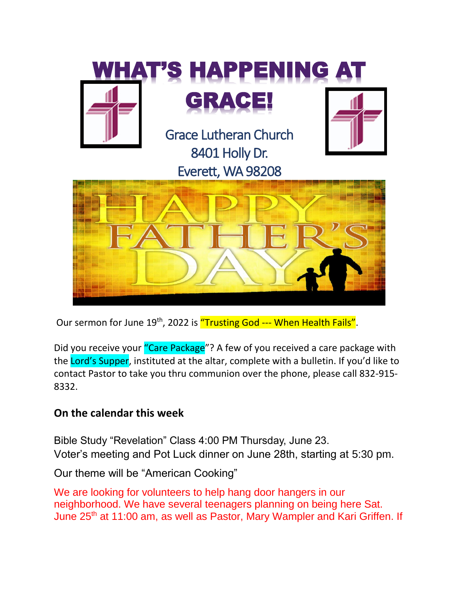

Our sermon for June 19<sup>th</sup>, 2022 is "Trusting God --- When Health Fails".

Did you receive your "Care Package"? A few of you received a care package with the Lord's Supper, instituted at the altar, complete with a bulletin. If you'd like to contact Pastor to take you thru communion over the phone, please call 832-915- 8332.

### **On the calendar this week**

Bible Study "Revelation" Class 4:00 PM Thursday, June 23. Voter's meeting and Pot Luck dinner on June 28th, starting at 5:30 pm.

Our theme will be "American Cooking"

We are looking for volunteers to help hang door hangers in our neighborhood. We have several teenagers planning on being here Sat. June 25<sup>th</sup> at 11:00 am, as well as Pastor, Mary Wampler and Kari Griffen. If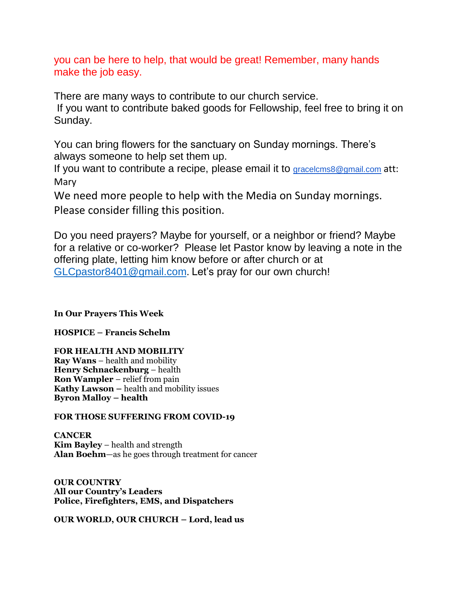you can be here to help, that would be great! Remember, many hands make the job easy.

There are many ways to contribute to our church service. If you want to contribute baked goods for Fellowship, feel free to bring it on Sunday.

You can bring flowers for the sanctuary on Sunday mornings. There's always someone to help set them up.

If you want to contribute a recipe, please email it to gracelems8@gmail.com att: Mary

We need more people to help with the Media on Sunday mornings. Please consider filling this position.

Do you need prayers? Maybe for yourself, or a neighbor or friend? Maybe for a relative or co-worker? Please let Pastor know by leaving a note in the offering plate, letting him know before or after church or at [GLCpastor8401@gmail.com.](mailto:GLCpastor8401@gmail.com) Let's pray for our own church!

**In Our Prayers This Week**

**HOSPICE – Francis Schelm**

**FOR HEALTH AND MOBILITY Ray Wans** – health and mobility **Henry Schnackenburg** – health **Ron Wampler** – relief from pain **Kathy Lawson –** health and mobility issues **Byron Malloy – health**

#### **FOR THOSE SUFFERING FROM COVID-19**

**CANCER Kim Bayley** – health and strength **Alan Boehm**—as he goes through treatment for cancer

**OUR COUNTRY All our Country's Leaders Police, Firefighters, EMS, and Dispatchers**

**OUR WORLD, OUR CHURCH – Lord, lead us**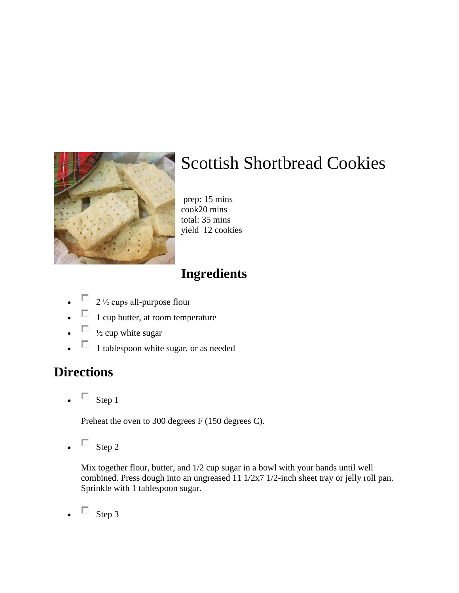

# Scottish Shortbread Cookies

prep: 15 mins cook20 mins total: 35 mins yield 12 cookies

## **Ingredients**

- $\Box$  2  $\frac{1}{2}$  cups all-purpose flour
- $\Box$  1 cup butter, at room temperature
- $\Box$   $\frac{1}{2}$  cup white sugar
- $\Box$  1 tablespoon white sugar, or as needed

### **Directions**

 $\Box$  Step 1

Preheat the oven to 300 degrees F (150 degrees C).

 $\Box$  Step 2

Mix together flour, butter, and 1/2 cup sugar in a bowl with your hands until well combined. Press dough into an ungreased 11 1/2x7 1/2-inch sheet tray or jelly roll pan. Sprinkle with 1 tablespoon sugar.

 $\Box$  Step 3